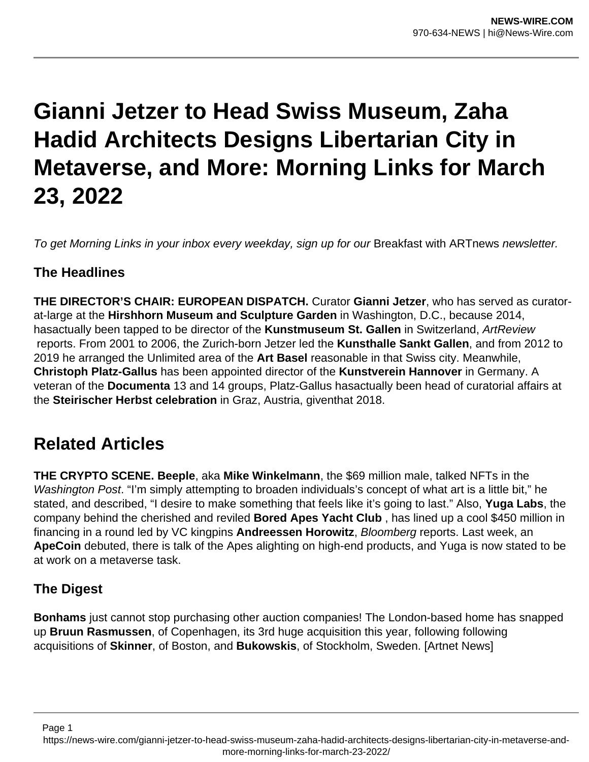# **Gianni Jetzer to Head Swiss Museum, Zaha Hadid Architects Designs Libertarian City in Metaverse, and More: Morning Links for March 23, 2022**

To get Morning Links in your inbox every weekday, sign up for our Breakfast with ARTnews newsletter.

## **The Headlines**

**THE DIRECTOR'S CHAIR: EUROPEAN DISPATCH.** Curator **Gianni Jetzer**, who has served as curatorat-large at the **Hirshhorn Museum and Sculpture Garden** in Washington, D.C., because 2014, hasactually been tapped to be director of the **Kunstmuseum St. Gallen** in Switzerland, ArtReview reports. From 2001 to 2006, the Zurich-born Jetzer led the **Kunsthalle Sankt Gallen**, and from 2012 to 2019 he arranged the Unlimited area of the **Art Basel** reasonable in that Swiss city. Meanwhile, **Christoph Platz-Gallus** has been appointed director of the **Kunstverein Hannover** in Germany. A veteran of the **Documenta** 13 and 14 groups, Platz-Gallus hasactually been head of curatorial affairs at the **Steirischer Herbst celebration** in Graz, Austria, giventhat 2018.

## **Related Articles**

**THE CRYPTO SCENE. Beeple**, aka **Mike Winkelmann**, the \$69 million male, talked NFTs in the Washington Post. "I'm simply attempting to broaden individuals's concept of what art is a little bit," he stated, and described, "I desire to make something that feels like it's going to last." Also, **Yuga Labs**, the company behind the cherished and reviled **Bored Apes Yacht Club** , has lined up a cool \$450 million in financing in a round led by VC kingpins **Andreessen Horowitz**, Bloomberg reports. Last week, an **ApeCoin** debuted, there is talk of the Apes alighting on high-end products, and Yuga is now stated to be at work on a metaverse task.

## **The Digest**

Page 1

**Bonhams** just cannot stop purchasing other auction companies! The London-based home has snapped up **Bruun Rasmussen**, of Copenhagen, its 3rd huge acquisition this year, following following acquisitions of **Skinner**, of Boston, and **Bukowskis**, of Stockholm, Sweden. [Artnet News]

https://news-wire.com/gianni-jetzer-to-head-swiss-museum-zaha-hadid-architects-designs-libertarian-city-in-metaverse-andmore-morning-links-for-march-23-2022/